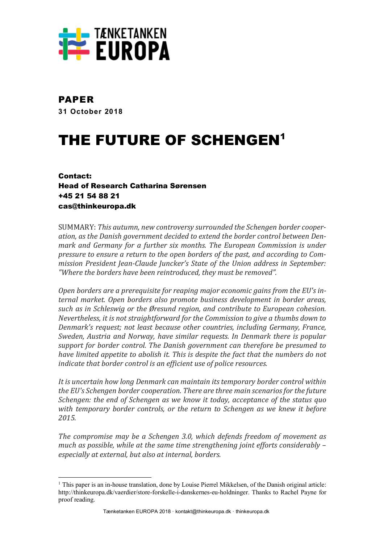

## PAPER

**31 October 2018**

# THE FUTURE OF SCHENGEN<sup>1</sup>

Contact: Head of Research Catharina Sørensen +45 21 54 88 21 cas@thinkeuropa.dk

 

SUMMARY: This autumn, new controversy surrounded the Schengen border cooperation, as the Danish government decided to extend the border control between Den*mark and Germany for a further six months. The European Commission is under pressure to ensure a return to the open borders of the past, and according to Commission President Jean-Claude Juncker's State of the Union address in September:* "Where the borders have been reintroduced, they must be removed".

Open borders are a prerequisite for reaping major economic gains from the EU's internal market. Open borders also promote business development in border areas, *such as in Schleswig or the Øresund region, and contribute to European cohesion. Nevertheless, it is not straightforward for the Commission to give a thumbs down to Denmark's request; not least because other countries, including Germany, France, Sweden, Austria and Norway, have similar requests. In Denmark there is popular support for border control. The Danish government can therefore be presumed to have limited appetite to abolish it. This is despite the fact that the numbers do not indicate that border control is an efficient use of police resources.* 

It is uncertain how long Denmark can maintain its temporary border control within *the EU's Schengen border cooperation. There are three main scenarios for the future Schengen:* the end of *Schengen* as we know it today, acceptance of the status quo with temporary border controls, or the return to Schengen as we knew it before *2015.*

*The compromise may be a Schengen 3.0, which defends freedom of movement as much as possible, while at the same time strengthening joint efforts considerably – especially at external, but also at internal, borders.*

 $1$  This paper is an in-house translation, done by Louise Pierrel Mikkelsen, of the Danish original article: http://thinkeuropa.dk/vaerdier/store-forskelle-i-danskernes-eu-holdninger. Thanks to Rachel Payne for proof reading.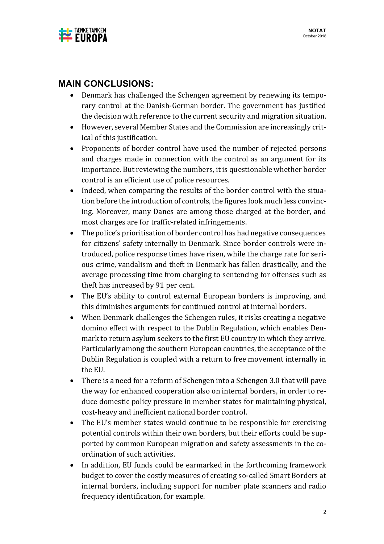

## **MAIN CONCLUSIONS:**

- Denmark has challenged the Schengen agreement by renewing its temporary control at the Danish-German border. The government has justified the decision with reference to the current security and migration situation.
- However, several Member States and the Commission are increasingly critical of this justification.
- Proponents of border control have used the number of rejected persons and charges made in connection with the control as an argument for its importance. But reviewing the numbers, it is questionable whether border control is an efficient use of police resources.
- Indeed, when comparing the results of the border control with the situation before the introduction of controls, the figures look much less convincing. Moreover, many Danes are among those charged at the border, and most charges are for traffic-related infringements.
- The police's prioritisation of border control has had negative consequences for citizens' safety internally in Denmark. Since border controls were introduced, police response times have risen, while the charge rate for serious crime, vandalism and theft in Denmark has fallen drastically, and the average processing time from charging to sentencing for offenses such as theft has increased by 91 per cent.
- The EU's ability to control external European borders is improving, and this diminishes arguments for continued control at internal borders.
- When Denmark challenges the Schengen rules, it risks creating a negative domino effect with respect to the Dublin Regulation, which enables Denmark to return asylum seekers to the first EU country in which they arrive. Particularly among the southern European countries, the acceptance of the Dublin Regulation is coupled with a return to free movement internally in the EU.
- There is a need for a reform of Schengen into a Schengen 3.0 that will pave the way for enhanced cooperation also on internal borders, in order to reduce domestic policy pressure in member states for maintaining physical, cost-heavy and inefficient national border control.
- The EU's member states would continue to be responsible for exercising potential controls within their own borders, but their efforts could be supported by common European migration and safety assessments in the coordination of such activities.
- In addition, EU funds could be earmarked in the forthcoming framework budget to cover the costly measures of creating so-called Smart Borders at internal borders, including support for number plate scanners and radio frequency identification, for example.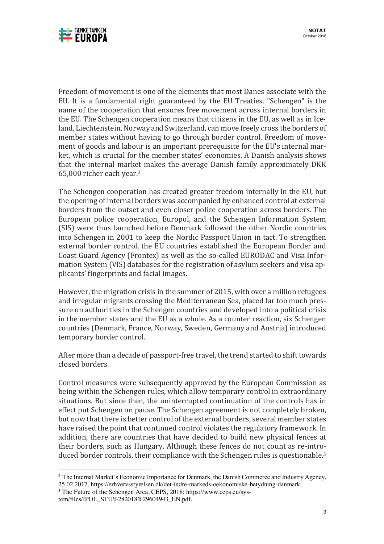

Freedom of movement is one of the elements that most Danes associate with the EU. It is a fundamental right guaranteed by the EU Treaties. "Schengen" is the name of the cooperation that ensures free movement across internal borders in the EU. The Schengen cooperation means that citizens in the EU, as well as in Iceland, Liechtenstein, Norway and Switzerland, can move freely cross the borders of member states without having to go through border control. Freedom of movement of goods and labour is an important prerequisite for the EU's internal market, which is crucial for the member states' economies. A Danish analysis shows that the internal market makes the average Danish family approximately DKK 65,000 richer each year.<sup>2</sup>

The Schengen cooperation has created greater freedom internally in the EU, but the opening of internal borders was accompanied by enhanced control at external borders from the outset and even closer police cooperation across borders. The European police cooperation, Europol, and the Schengen Information System (SIS) were thus launched before Denmark followed the other Nordic countries into Schengen in 2001 to keep the Nordic Passport Union in tact. To strengthen external border control, the EU countries established the European Border and Coast Guard Agency (Frontex) as well as the so-called EURODAC and Visa Information System (VIS) databases for the registration of asylum seekers and visa applicants' fingerprints and facial images.

However, the migration crisis in the summer of 2015, with over a million refugees and irregular migrants crossing the Mediterranean Sea, placed far too much pressure on authorities in the Schengen countries and developed into a political crisis in the member states and the EU as a whole. As a counter reaction, six Schengen countries (Denmark, France, Norway, Sweden, Germany and Austria) introduced temporary border control.

After more than a decade of passport-free travel, the trend started to shift towards closed borders.

Control measures were subsequently approved by the European Commission as being within the Schengen rules, which allow temporary control in extraordinary situations. But since then, the uninterrupted continuation of the controls has in effect put Schengen on pause. The Schengen agreement is not completely broken, but now that there is better control of the external borders, several member states have raised the point that continued control violates the regulatory framework. In addition, there are countries that have decided to build new physical fences at their borders, such as Hungary. Although these fences do not count as re-introduced border controls, their compliance with the Schengen rules is questionable.<sup>3</sup>

<sup>&</sup>lt;sup>2</sup> The Internal Market's Economic Importance for Denmark, the Danish Commerce and Industry Agency, 25.02.2017, https://erhvervsstyrelsen.dk/det-indre-markeds-oekonomiske-betydning-danmark. 3 The Future of the Schengen Area, CEPS, 2018: https://www.ceps.eu/sys-

tem/files/IPOL\_STU%282018%29604943\_EN.pdf.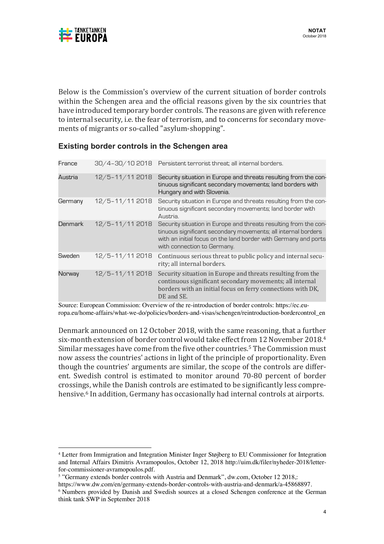

Below is the Commission's overview of the current situation of border controls within the Schengen area and the official reasons given by the six countries that have introduced temporary border controls. The reasons are given with reference to internal security, i.e. the fear of terrorism, and to concerns for secondary movements of migrants or so-called "asylum-shopping".

#### **Existing border controls in the Schengen area**

| France         |                    | 30/4-30/10 2018 Persistent terrorist threat; all internal borders.                                                                                                                                                                  |
|----------------|--------------------|-------------------------------------------------------------------------------------------------------------------------------------------------------------------------------------------------------------------------------------|
| Austria        | 12/5-11/11 2018    | Security situation in Europe and threats resulting from the con-<br>tinuous significant secondary movements; land borders with<br>Hungary and with Slovenia.                                                                        |
| Germany        | 12/5-11/11 2018    | Security situation in Europe and threats resulting from the con-<br>tinuous significant secondary movements; land border with<br>Austria.                                                                                           |
| <b>Denmark</b> | 12/5-11/11 2018    | Security situation in Europe and threats resulting from the con-<br>tinuous significant secondary movements; all internal borders<br>with an initial focus on the land border with Germany and ports<br>with connection to Germany. |
| Sweden         | 12/5-11/11 2018    | Continuous serious threat to public policy and internal secu-<br>rity; all internal borders.                                                                                                                                        |
| Norway         | $12/5 - 11/112018$ | Security situation in Europe and threats resulting from the<br>continuous significant secondary movements; all internal<br>borders with an initial focus on ferry connections with DK,<br>DE and SE.                                |

Source: European Commission: Overview of the re-introduction of border controls: https://ec.europa.eu/home-affairs/what-we-do/policies/borders-and-visas/schengen/reintroduction-bordercontrol\_en

Denmark announced on 12 October 2018, with the same reasoning, that a further six-month extension of border control would take effect from 12 November 2018.<sup>4</sup> Similar messages have come from the five other countries.<sup>5</sup> The Commission must now assess the countries' actions in light of the principle of proportionality. Even though the countries' arguments are similar, the scope of the controls are different. Swedish control is estimated to monitor around 70-80 percent of border crossings, while the Danish controls are estimated to be significantly less comprehensive.<sup>6</sup> In addition, Germany has occasionally had internal controls at airports.

<sup>4</sup> Letter from Immigration and Integration Minister Inger Støjberg to EU Commissioner for Integration and Internal Affairs Dimitris Avramopoulos, October 12, 2018 http://uim.dk/filer/nyheder-2018/letterfor-commissioner-avramopoulos.pdf.<br><sup>5</sup> "Germany extends border controls with Austria and Denmark", dw.com, October 12 2018,:

https://www.dw.com/en/germany-extends-border-controls-with-austria-and-denmark/a-45868897. <sup>6</sup> Numbers provided by Danish and Swedish sources at a closed Schengen conference at the German think tank SWP in September 2018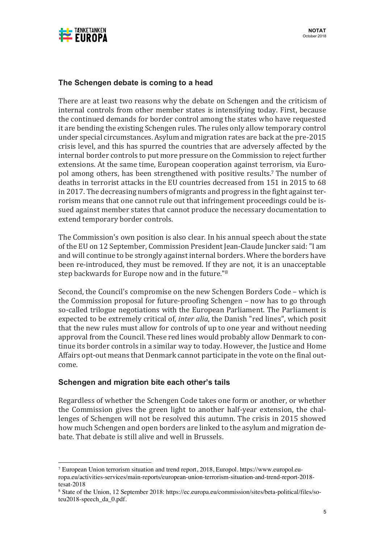

#### **The Schengen debate is coming to a head**

There are at least two reasons why the debate on Schengen and the criticism of internal controls from other member states is intensifying today. First, because the continued demands for border control among the states who have requested it are bending the existing Schengen rules. The rules only allow temporary control under special circumstances. Asylum and migration rates are back at the pre-2015 crisis level, and this has spurred the countries that are adversely affected by the internal border controls to put more pressure on the Commission to reject further extensions. At the same time, European cooperation against terrorism, via Europol among others, has been strengthened with positive results.<sup>7</sup> The number of deaths in terrorist attacks in the EU countries decreased from 151 in 2015 to 68 in 2017. The decreasing numbers of migrants and progress in the fight against terrorism means that one cannot rule out that infringement proceedings could be issued against member states that cannot produce the necessary documentation to extend temporary border controls.

The Commission's own position is also clear. In his annual speech about the state of the EU on 12 September, Commission President Jean-Claude Juncker said: "I am and will continue to be strongly against internal borders. Where the borders have been re-introduced, they must be removed. If they are not, it is an unacceptable step backwards for Europe now and in the future."<sup>8</sup>

Second, the Council's compromise on the new Schengen Borders Code – which is the Commission proposal for future-proofing Schengen – now has to go through so-called trilogue negotiations with the European Parliament. The Parliament is expected to be extremely critical of, *inter alia*, the Danish "red lines", which posit that the new rules must allow for controls of up to one year and without needing approval from the Council. These red lines would probably allow Denmark to continue its border controls in a similar way to today. However, the Justice and Home Affairs opt-out means that Denmark cannot participate in the vote on the final outcome.

#### **Schengen and migration bite each other's tails**

 

Regardless of whether the Schengen Code takes one form or another, or whether the Commission gives the green light to another half-year extension, the challenges of Schengen will not be resolved this autumn. The crisis in 2015 showed how much Schengen and open borders are linked to the asylum and migration debate. That debate is still alive and well in Brussels.

<sup>7</sup> European Union terrorism situation and trend report, 2018, Europol. https://www.europol.europa.eu/activities-services/main-reports/european-union-terrorism-situation-and-trend-report-2018 tesat-2018

<sup>8</sup> State of the Union, 12 September 2018: https://ec.europa.eu/commission/sites/beta-political/files/soteu2018-speech\_da\_0.pdf.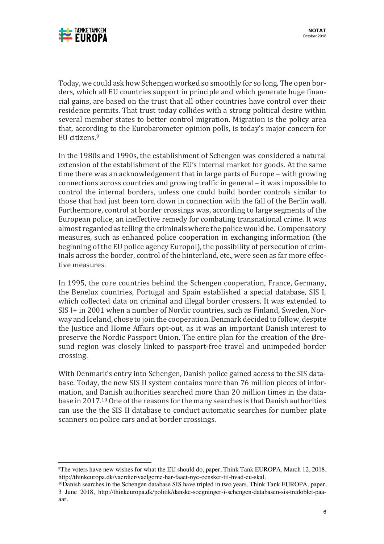

Today, we could ask how Schengen worked so smoothly for so long. The open borders, which all EU countries support in principle and which generate huge financial gains, are based on the trust that all other countries have control over their residence permits. That trust today collides with a strong political desire within several member states to better control migration. Migration is the policy area that, according to the Eurobarometer opinion polls, is today's major concern for EU citizens. 9

In the 1980s and 1990s, the establishment of Schengen was considered a natural extension of the establishment of the EU's internal market for goods. At the same time there was an acknowledgement that in large parts of Europe – with growing connections across countries and growing traffic in general – it was impossible to control the internal borders, unless one could build border controls similar to those that had just been torn down in connection with the fall of the Berlin wall. Furthermore, control at border crossings was, according to large segments of the European police, an ineffective remedy for combating transnational crime. It was almost regarded as telling the criminals where the police would be. Compensatory measures, such as enhanced police cooperation in exchanging information (the beginning of the EU police agency Europol), the possibility of persecution of criminals across the border, control of the hinterland, etc., were seen as far more effective measures.

In 1995, the core countries behind the Schengen cooperation, France, Germany, the Benelux countries, Portugal and Spain established a special database, SIS I, which collected data on criminal and illegal border crossers. It was extended to SIS I+ in 2001 when a number of Nordic countries, such as Finland, Sweden, Norway and Iceland, chose to join the cooperation. Denmark decided to follow, despite the Justice and Home Affairs opt-out, as it was an important Danish interest to preserve the Nordic Passport Union. The entire plan for the creation of the  $\varnothing$ resund region was closely linked to passport-free travel and unimpeded border crossing. 

With Denmark's entry into Schengen, Danish police gained access to the SIS database. Today, the new SIS II system contains more than 76 million pieces of information, and Danish authorities searched more than 20 million times in the database in 2017.<sup>10</sup> One of the reasons for the many searches is that Danish authorities can use the the SIS II database to conduct automatic searches for number plate scanners on police cars and at border crossings.

<sup>&</sup>lt;sup>9</sup>The voters have new wishes for what the EU should do, paper, Think Tank EUROPA, March 12, 2018, http://thinkeuropa.dk/vaerdier/vaelgerne-har-faaet-nye-oensker-til-hvad-eu-skal.

 $\frac{10}{2}$  parish searches in the Schengen database SIS have tripled in two years, Think Tank EUROPA, paper, 3 June 2018, http://thinkeuropa.dk/politik/danske-soegninger-i-schengen-databasen-sis-tredoblet-paaaar.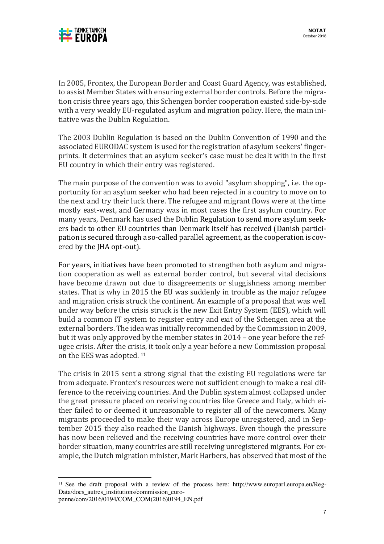

In 2005, Frontex, the European Border and Coast Guard Agency, was established, to assist Member States with ensuring external border controls. Before the migration crisis three years ago, this Schengen border cooperation existed side-by-side with a very weakly EU-regulated asylum and migration policy. Here, the main initiative was the Dublin Regulation.

The 2003 Dublin Regulation is based on the Dublin Convention of 1990 and the associated EURODAC system is used for the registration of asylum seekers' fingerprints. It determines that an asylum seeker's case must be dealt with in the first EU country in which their entry was registered.

The main purpose of the convention was to avoid "asylum shopping", i.e. the opportunity for an asylum seeker who had been rejected in a country to move on to the next and try their luck there. The refugee and migrant flows were at the time mostly east-west, and Germany was in most cases the first asylum country. For many years, Denmark has used the Dublin Regulation to send more asylum seekers back to other EU countries than Denmark itself has received (Danish participation is secured through a so-called parallel agreement, as the cooperation is covered by the JHA opt-out).

For years, initiatives have been promoted to strengthen both asylum and migration cooperation as well as external border control, but several vital decisions have become drawn out due to disagreements or sluggishness among member states. That is why in 2015 the EU was suddenly in trouble as the major refugee and migration crisis struck the continent. An example of a proposal that was well under way before the crisis struck is the new Exit Entry System (EES), which will build a common IT system to register entry and exit of the Schengen area at the external borders. The idea was initially recommended by the Commission in 2009, but it was only approved by the member states in  $2014$  – one year before the refugee crisis. After the crisis, it took only a year before a new Commission proposal on the EES was adopted.<sup>11</sup>

The crisis in 2015 sent a strong signal that the existing EU regulations were far from adequate. Frontex's resources were not sufficient enough to make a real difference to the receiving countries. And the Dublin system almost collapsed under the great pressure placed on receiving countries like Greece and Italy, which either failed to or deemed it unreasonable to register all of the newcomers. Many migrants proceeded to make their way across Europe unregistered, and in September 2015 they also reached the Danish highways. Even though the pressure has now been relieved and the receiving countries have more control over their border situation, many countries are still receiving unregistered migrants. For example, the Dutch migration minister, Mark Harbers, has observed that most of the

<sup>11</sup> See the draft proposal with a review of the process here: http://www.europarl.europa.eu/Reg-Data/docs\_autres\_institutions/commission\_euro-

penne/com/2016/0194/COM\_COM(2016)0194\_EN.pdf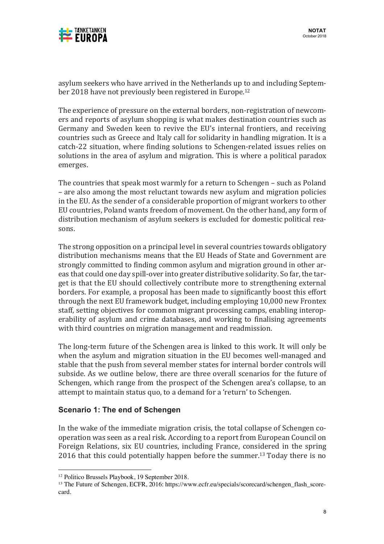

asylum seekers who have arrived in the Netherlands up to and including September 2018 have not previously been registered in Europe.<sup>12</sup>

The experience of pressure on the external borders, non-registration of newcomers and reports of asylum shopping is what makes destination countries such as Germany and Sweden keen to revive the EU's internal frontiers, and receiving countries such as Greece and Italy call for solidarity in handling migration. It is a catch-22 situation, where finding solutions to Schengen-related issues relies on solutions in the area of asylum and migration. This is where a political paradox emerges.

The countries that speak most warmly for a return to Schengen – such as Poland – are also among the most reluctant towards new asylum and migration policies in the EU. As the sender of a considerable proportion of migrant workers to other EU countries, Poland wants freedom of movement. On the other hand, any form of distribution mechanism of asylum seekers is excluded for domestic political reasons.

The strong opposition on a principal level in several countries towards obligatory distribution mechanisms means that the EU Heads of State and Government are strongly committed to finding common asylum and migration ground in other areas that could one day spill-over into greater distributive solidarity. So far, the target is that the EU should collectively contribute more to strengthening external borders. For example, a proposal has been made to significantly boost this effort through the next EU framework budget, including employing 10,000 new Frontex staff, setting objectives for common migrant processing camps, enabling interoperability of asylum and crime databases, and working to finalising agreements with third countries on migration management and readmission.

The long-term future of the Schengen area is linked to this work. It will only be when the asylum and migration situation in the EU becomes well-managed and stable that the push from several member states for internal border controls will subside. As we outline below, there are three overall scenarios for the future of Schengen, which range from the prospect of the Schengen area's collapse, to an attempt to maintain status quo, to a demand for a 'return' to Schengen.

#### **Scenario 1: The end of Schengen**

In the wake of the immediate migration crisis, the total collapse of Schengen cooperation was seen as a real risk. According to a report from European Council on Foreign Relations, six EU countries, including France, considered in the spring 2016 that this could potentially happen before the summer.<sup>13</sup> Today there is no

<sup>&</sup>lt;sup>12</sup> Politico Brussels Playbook, 19 September 2018.<br><sup>13</sup> The Future of Schengen, ECFR, 2016: https://www.ecfr.eu/specials/scorecard/schengen flash scorecard.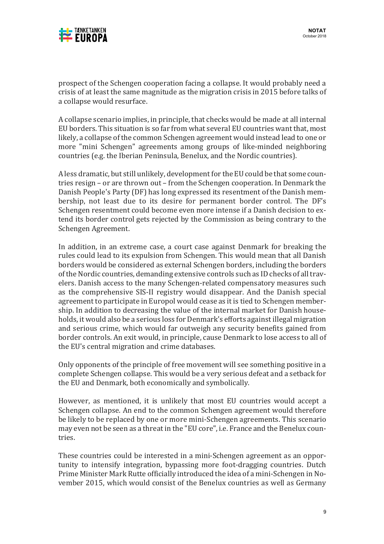

prospect of the Schengen cooperation facing a collapse. It would probably need a crisis of at least the same magnitude as the migration crisis in 2015 before talks of a collapse would resurface.

A collapse scenario implies, in principle, that checks would be made at all internal EU borders. This situation is so far from what several EU countries want that, most likely, a collapse of the common Schengen agreement would instead lead to one or more "mini Schengen" agreements among groups of like-minded neighboring countries (e.g. the Iberian Peninsula, Benelux, and the Nordic countries).

A less dramatic, but still unlikely, development for the EU could be that some countries resign – or are thrown out – from the Schengen cooperation. In Denmark the Danish People's Party (DF) has long expressed its resentment of the Danish membership, not least due to its desire for permanent border control. The DF's Schengen resentment could become even more intense if a Danish decision to extend its border control gets rejected by the Commission as being contrary to the Schengen Agreement. 

In addition, in an extreme case, a court case against Denmark for breaking the rules could lead to its expulsion from Schengen. This would mean that all Danish borders would be considered as external Schengen borders, including the borders of the Nordic countries, demanding extensive controls such as ID checks of all travelers. Danish access to the many Schengen-related compensatory measures such as the comprehensive SIS-II registry would disappear. And the Danish special agreement to participate in Europol would cease as it is tied to Schengen membership. In addition to decreasing the value of the internal market for Danish households, it would also be a serious loss for Denmark's efforts against illegal migration and serious crime, which would far outweigh any security benefits gained from border controls. An exit would, in principle, cause Denmark to lose access to all of the EU's central migration and crime databases.

Only opponents of the principle of free movement will see something positive in a complete Schengen collapse. This would be a very serious defeat and a setback for the EU and Denmark, both economically and symbolically.

However, as mentioned, it is unlikely that most EU countries would accept a Schengen collapse. An end to the common Schengen agreement would therefore be likely to be replaced by one or more mini-Schengen agreements. This scenario may even not be seen as a threat in the "EU core", i.e. France and the Benelux countries.

These countries could be interested in a mini-Schengen agreement as an opportunity to intensify integration, bypassing more foot-dragging countries. Dutch Prime Minister Mark Rutte officially introduced the idea of a mini-Schengen in November 2015, which would consist of the Benelux countries as well as Germany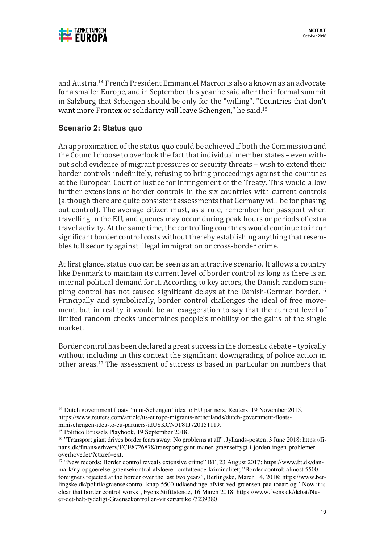

and Austria.<sup>14</sup> French President Emmanuel Macron is also a known as an advocate for a smaller Europe, and in September this year he said after the informal summit in Salzburg that Schengen should be only for the "willing". "Countries that don't want more Frontex or solidarity will leave Schengen," he said.<sup>15</sup>

#### **Scenario 2: Status quo**

An approximation of the status quo could be achieved if both the Commission and the Council choose to overlook the fact that individual member states  $-$  even without solid evidence of migrant pressures or security threats - wish to extend their border controls indefinitely, refusing to bring proceedings against the countries at the European Court of Justice for infringement of the Treaty. This would allow further extensions of border controls in the six countries with current controls (although there are quite consistent assessments that Germany will be for phasing out control). The average citizen must, as a rule, remember her passport when travelling in the EU, and queues may occur during peak hours or periods of extra travel activity. At the same time, the controlling countries would continue to incur significant border control costs without thereby establishing anything that resembles full security against illegal immigration or cross-border crime.

At first glance, status quo can be seen as an attractive scenario. It allows a country like Denmark to maintain its current level of border control as long as there is an internal political demand for it. According to key actors, the Danish random sampling control has not caused significant delays at the Danish-German border.<sup>16</sup> Principally and symbolically, border control challenges the ideal of free movement, but in reality it would be an exaggeration to say that the current level of limited random checks undermines people's mobility or the gains of the single market.

Border control has been declared a great success in the domestic debate – typically without including in this context the significant downgrading of police action in other areas.<sup>17</sup> The assessment of success is based in particular on numbers that

<sup>&</sup>lt;sup>14</sup> Dutch government floats 'mini-Schengen' idea to EU partners, Reuters, 19 November 2015, https://www.reuters.com/article/us-europe-migrants-netherlands/dutch-government-floatsminischengen-idea-to-eu-partners-idUSKCN0T81J720151119.

<sup>15</sup> Politico Brussels Playbook, 19 September 2018.

<sup>16</sup> "Transport giant drives border fears away: No problems at all", Jyllands-posten, 3 June 2018: https://finans.dk/finans/erhverv/ECE8726878/transportgigant-maner-graensefrygt-i-jorden-ingen-problemeroverhovedet/?ctxref=ext.

<sup>&</sup>lt;sup>17</sup> "New records: Border control reveals extensive crime" BT, 23 August 2017: https://www.bt.dk/danmark/ny-opgoerelse-graensekontrol-afsloerer-omfattende-kriminalitet; "Border control: almost 5500 foreigners rejected at the border over the last two years", Berlingske, March 14, 2018: https://www.berlingske.dk/politik/graensekontrol-knap-5500-udlaendinge-afvist-ved-graensen-paa-toaar; og ' Now it is clear that border control works', Fyens Stifttidende, 16 March 2018: https://www.fyens.dk/debat/Nuer-det-helt-tydeligt-Graensekontrollen-virker/artikel/3239380.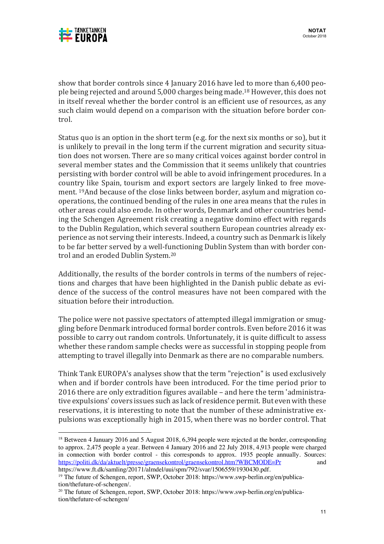

show that border controls since 4 January 2016 have led to more than 6,400 people being rejected and around 5,000 charges being made.<sup>18</sup> However, this does not in itself reveal whether the border control is an efficient use of resources, as any such claim would depend on a comparison with the situation before border control.

Status quo is an option in the short term (e.g. for the next six months or so), but it is unlikely to prevail in the long term if the current migration and security situation does not worsen. There are so many critical voices against border control in several member states and the Commission that it seems unlikely that countries persisting with border control will be able to avoid infringement procedures. In a country like Spain, tourism and export sectors are largely linked to free movement. <sup>19</sup>And because of the close links between border, asylum and migration cooperations, the continued bending of the rules in one area means that the rules in other areas could also erode. In other words, Denmark and other countries bending the Schengen Agreement risk creating a negative domino effect with regards to the Dublin Regulation, which several southern European countries already experience as not serving their interests. Indeed, a country such as Denmark is likely to be far better served by a well-functioning Dublin System than with border control and an eroded Dublin System.<sup>20</sup>

Additionally, the results of the border controls in terms of the numbers of rejections and charges that have been highlighted in the Danish public debate as evidence of the success of the control measures have not been compared with the situation before their introduction.

The police were not passive spectators of attempted illegal immigration or smuggling before Denmark introduced formal border controls. Even before 2016 it was possible to carry out random controls. Unfortunately, it is quite difficult to assess whether these random sample checks were as successful in stopping people from attempting to travel illegally into Denmark as there are no comparable numbers.

Think Tank EUROPA's analyses show that the term "rejection" is used exclusively when and if border controls have been introduced. For the time period prior to 2016 there are only extradition figures available – and here the term 'administrative expulsions' covers issues such as lack of residence permit. But even with these reservations, it is interesting to note that the number of these administrative expulsions was exceptionally high in 2015, when there was no border control. That

<sup>&</sup>lt;sup>18</sup> Between 4 January 2016 and 5 August 2018, 6,394 people were rejected at the border, corresponding to approx. 2,475 people a year. Between 4 January 2016 and 22 July 2018, 4,913 people were charged in connection with border control - this corresponds to approx. 1935 people annually. Sources: https://politi.dk/da/aktuelt/presse/graensekontrol/graensekontrol.htm?WBCMODE=Pr and

https://www.ft.dk/samling/20171/almdel/uui/spm/792/svar/1506559/1930430.pdf.<br><sup>19</sup> The future of Schengen, report, SWP, October 2018: https://www.swp-berlin.org/en/publication/thefuture-of-schengen/.<br><sup>20</sup> The future of Schengen, report, SWP, October 2018: https://www.swp-berlin.org/en/publica-

tion/thefuture-of-schengen/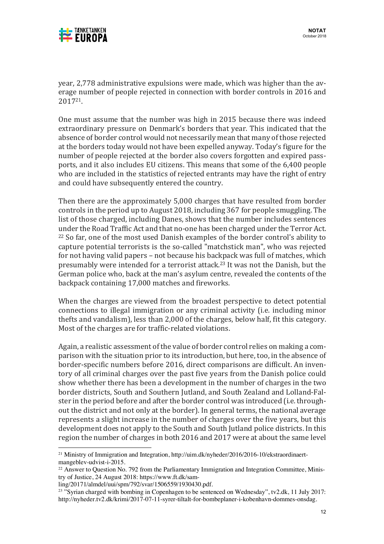

year, 2,778 administrative expulsions were made, which was higher than the average number of people rejected in connection with border controls in 2016 and 201721.

One must assume that the number was high in 2015 because there was indeed extraordinary pressure on Denmark's borders that year. This indicated that the absence of border control would not necessarily mean that many of those rejected at the borders today would not have been expelled anyway. Today's figure for the number of people rejected at the border also covers forgotten and expired passports, and it also includes EU citizens. This means that some of the 6,400 people who are included in the statistics of rejected entrants may have the right of entry and could have subsequently entered the country.

Then there are the approximately 5,000 charges that have resulted from border controls in the period up to August 2018, including 367 for people smuggling. The list of those charged, including Danes, shows that the number includes sentences under the Road Traffic Act and that no-one has been charged under the Terror Act.  $22$  So far, one of the most used Danish examples of the border control's ability to capture potential terrorists is the so-called "matchstick man", who was rejected for not having valid papers – not because his backpack was full of matches, which presumably were intended for a terrorist attack.<sup>23</sup> It was not the Danish, but the German police who, back at the man's asylum centre, revealed the contents of the backpack containing 17,000 matches and fireworks.

When the charges are viewed from the broadest perspective to detect potential connections to illegal immigration or any criminal activity (i.e. including minor thefts and vandalism), less than  $2,000$  of the charges, below half, fit this category. Most of the charges are for traffic-related violations.

Again, a realistic assessment of the value of border control relies on making a comparison with the situation prior to its introduction, but here, too, in the absence of border-specific numbers before 2016, direct comparisons are difficult. An inventory of all criminal charges over the past five years from the Danish police could show whether there has been a development in the number of charges in the two border districts, South and Southern Jutland, and South Zealand and Lolland-Falster in the period before and after the border control was introduced (i.e. throughout the district and not only at the border). In general terms, the national average represents a slight increase in the number of charges over the five years, but this development does not apply to the South and South Jutland police districts. In this region the number of charges in both 2016 and 2017 were at about the same level

<sup>21</sup> Ministry of Immigration and Integration, http://uim.dk/nyheder/2016/2016-10/ekstraordinaertmangeblev-udvist-i-2015.<br><sup>22</sup> Answer to Question No. 792 from the Parliamentary Immigration and Integration Committee, Minis-

try of Justice, 24 August 2018: https://www.ft.dk/sam-

ling/20171/almdel/uui/spm/792/svar/1506559/1930430.pdf.

<sup>&</sup>lt;sup>23</sup> "Syrian charged with bombing in Copenhagen to be sentenced on Wednesday", tv2.dk, 11 July 2017: http://nyheder.tv2.dk/krimi/2017-07-11-syrer-tiltalt-for-bombeplaner-i-kobenhavn-dommes-onsdag.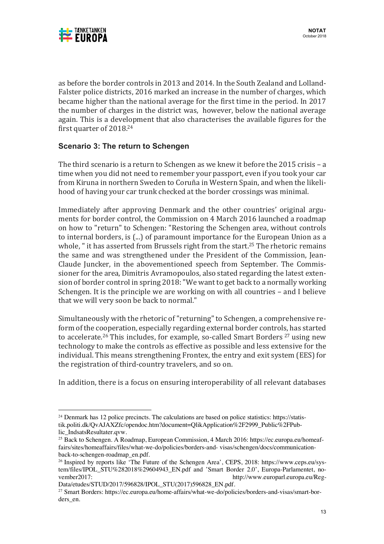

as before the border controls in 2013 and 2014. In the South Zealand and Lolland-Falster police districts, 2016 marked an increase in the number of charges, which became higher than the national average for the first time in the period. In 2017 the number of charges in the district was, however, below the national average again. This is a development that also characterises the available figures for the first quarter of  $2018<sup>24</sup>$ 

### **Scenario 3: The return to Schengen**

The third scenario is a return to Schengen as we knew it before the  $2015$  crisis – a time when you did not need to remember your passport, even if you took your car from Kiruna in northern Sweden to Coruña in Western Spain, and when the likelihood of having your car trunk checked at the border crossings was minimal.

Immediately after approving Denmark and the other countries' original arguments for border control, the Commission on 4 March 2016 launched a roadmap on how to "return" to Schengen: "Restoring the Schengen area, without controls to internal borders, is  $(...)$  of paramount importance for the European Union as a whole, " it has asserted from Brussels right from the start.<sup>25</sup> The rhetoric remains the same and was strengthened under the President of the Commission, Jean-Claude Juncker, in the abovementioned speech from September. The Commissioner for the area, Dimitris Avramopoulos, also stated regarding the latest extension of border control in spring 2018: "We want to get back to a normally working Schengen. It is the principle we are working on with all countries  $-$  and I believe that we will very soon be back to normal."

Simultaneously with the rhetoric of "returning" to Schengen, a comprehensive reform of the cooperation, especially regarding external border controls, has started to accelerate.<sup>26</sup> This includes, for example, so-called Smart Borders<sup>27</sup> using new technology to make the controls as effective as possible and less extensive for the individual. This means strengthening Frontex, the entry and exit system (EES) for the registration of third-country travelers, and so on.

In addition, there is a focus on ensuring interoperability of all relevant databases

Data/etudes/STUD/2017/596828/IPOL\_STU(2017)596828\_EN.pdf.

<sup>&</sup>lt;sup>24</sup> Denmark has 12 police precincts. The calculations are based on police statistics: https://statistik.politi.dk/QvAJAXZfc/opendoc.htm?document=QlikApplication%2F2999\_Public%2FPublic\_IndsatsResultater.qvw.

<sup>25</sup> Back to Schengen. A Roadmap, European Commission, 4 March 2016: https://ec.europa.eu/homeaffairs/sites/homeaffairs/files/what-we-do/policies/borders-and- visas/schengen/docs/communicationback-to-schengen-roadmap\_en.pdf.<br><sup>26</sup> Inspired by reports like 'The Future of the Schengen Area', CEPS, 2018: https://www.ceps.eu/sys-

tem/files/IPOL\_STU%282018%29604943\_EN.pdf and 'Smart Border 2.0', Europa-Parlamentet, november2017: http://www.europarl.europa.eu/Reg-

<sup>&</sup>lt;sup>27</sup> Smart Borders: https://ec.europa.eu/home-affairs/what-we-do/policies/borders-and-visas/smart-borders en.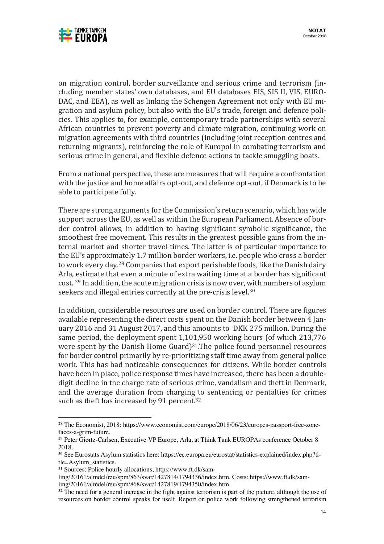

on migration control, border surveillance and serious crime and terrorism (including member states' own databases, and EU databases EIS, SIS II, VIS, EURO-DAC, and EEA), as well as linking the Schengen Agreement not only with EU migration and asylum policy, but also with the EU's trade, foreign and defence policies. This applies to, for example, contemporary trade partnerships with several African countries to prevent poverty and climate migration, continuing work on migration agreements with third countries (including joint reception centres and returning migrants), reinforcing the role of Europol in combating terrorism and serious crime in general, and flexible defence actions to tackle smuggling boats.

From a national perspective, these are measures that will require a confrontation with the justice and home affairs opt-out, and defence opt-out, if Denmark is to be able to participate fully.

There are strong arguments for the Commission's return scenario, which has wide support across the EU, as well as within the European Parliament. Absence of border control allows, in addition to having significant symbolic significance, the smoothest free movement. This results in the greatest possible gains from the internal market and shorter travel times. The latter is of particular importance to the EU's approximately 1.7 million border workers, i.e. people who cross a border to work every day.<sup>28</sup> Companies that export perishable foods, like the Danish dairy Arla, estimate that even a minute of extra waiting time at a border has significant cost.  $29$  In addition, the acute migration crisis is now over, with numbers of asylum seekers and illegal entries currently at the pre-crisis level.<sup>30</sup>

In addition, considerable resources are used on border control. There are figures available representing the direct costs spent on the Danish border between 4 January 2016 and 31 August 2017, and this amounts to DKK 275 million. During the same period, the deployment spent 1,101,950 working hours (of which 213,776 were spent by the Danish Home Guard) $31$ . The police found personnel resources for border control primarily by re-prioritizing staff time away from general police work. This has had noticeable consequences for citizens. While border controls have been in place, police response times have increased, there has been a doubledigit decline in the charge rate of serious crime, vandalism and theft in Denmark, and the average duration from charging to sentencing or pentalties for crimes such as theft has increased by 91 percent.<sup>32</sup>

<sup>28</sup> The Economist, 2018: https://www.economist.com/europe/2018/06/23/europes-passport-free-zonefaces-a-grim-future.<br><sup>29</sup> Peter Giørtz-Carlsen, Executive VP Europe, Arla, at Think Tank EUROPAs conference October 8

<sup>2018.</sup>

<sup>&</sup>lt;sup>30</sup> See Eurostats Asylum statistics here: https://ec.europa.eu/eurostat/statistics-explained/index.php?title=Asylum\_statistics.

<sup>31</sup> Sources: Police hourly allocations, https://www.ft.dk/sam-

ling/20161/almdel/reu/spm/863/svar/1427814/1794336/index.htm. Costs: https://www.ft.dk/sam-<br>ling/20161/almdel/reu/spm/868/svar/1427819/1794350/index.htm.

 $32$  The need for a general increase in the fight against terrorism is part of the picture, although the use of resources on border control speaks for itself. Report on police work following strengthened terrorism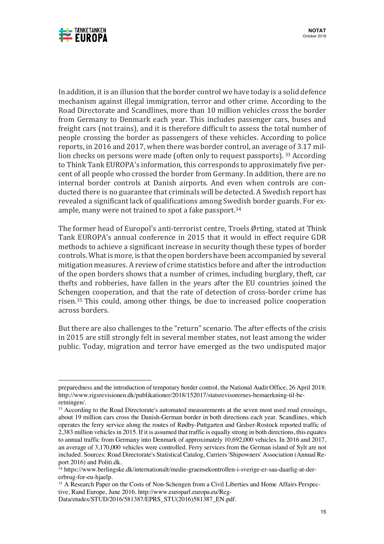

In addition, it is an illusion that the border control we have today is a solid defence mechanism against illegal immigration, terror and other crime. According to the Road Directorate and Scandlines, more than 10 million vehicles cross the border from Germany to Denmark each year. This includes passenger cars, buses and freight cars (not trains), and it is therefore difficult to assess the total number of people crossing the border as passengers of these vehicles. According to police reports, in 2016 and 2017, when there was border control, an average of 3.17 million checks on persons were made (often only to request passports).  $33$  According to Think Tank EUROPA's information, this corresponds to approximately five percent of all people who crossed the border from Germany. In addition, there are no internal border controls at Danish airports. And even when controls are conducted there is no guarantee that criminals will be detected. A Swedish report has revealed a significant lack of qualifications among Swedish border guards. For example, many were not trained to spot a fake passport. $34$ 

The former head of Europol's anti-terrorist centre, Troels Ørting, stated at Think Tank EUROPA's annual conference in 2015 that it would in effect require GDR methods to achieve a significant increase in security though these types of border controls. What is more, is that the open borders have been accompanied by several mitigation measures. A review of crime statistics before and after the introduction of the open borders shows that a number of crimes, including burglary, theft, car thefts and robberies, have fallen in the years after the EU countries joined the Schengen cooperation, and that the rate of detection of cross-border crime has risen.<sup>35</sup> This could, among other things, be due to increased police cooperation across borders.

But there are also challenges to the "return" scenario. The after effects of the crisis in 2015 are still strongly felt in several member states, not least among the wider public. Today, migration and terror have emerged as the two undisputed major

preparedness and the introduction of temporary border control, the National Audit Office, 26 April 2018: http://www.rigsrevisionen.dk/publikationer/2018/152017/statsrevisorernes-bemaerkning-til-beretningen/.

<sup>&</sup>lt;sup>33</sup> According to the Road Directorate's automated measurements at the seven most used road crossings, about 19 million cars cross the Danish-German border in both directions each year. Scandlines, which operates the ferry service along the routes of Rødby-Puttgarten and Gedser-Rostock reported traffic of 2,383 million vehicles in 2015. If it is assumed that traffic is equally strong in both directions, this equates to annual traffic from Germany into Denmark of approximately 10,692,000 vehicles. In 2016 and 2017, an average of 3,170,000 vehicles were controlled. Ferry services from the German island of Sylt are not included. Sources: Road Directorate's Statistical Catalog, Carriers 'Shipowners' Association (Annual Report 2016) and Politi.dk.

<sup>34</sup> https://www.berlingske.dk/internationalt/medie-graensekontrollen-i-sverige-er-saa-daarlig-at-dererbrug-for-eu-hjaelp.

<sup>&</sup>lt;sup>35</sup> A Research Paper on the Costs of Non-Schengen from a Civil Liberties and Home Affairs Perspective, Rand Europe, June 2016. http://www.europarl.europa.eu/Reg-

Data/etudes/STUD/2016/581387/EPRS\_STU(2016)581387\_EN.pdf.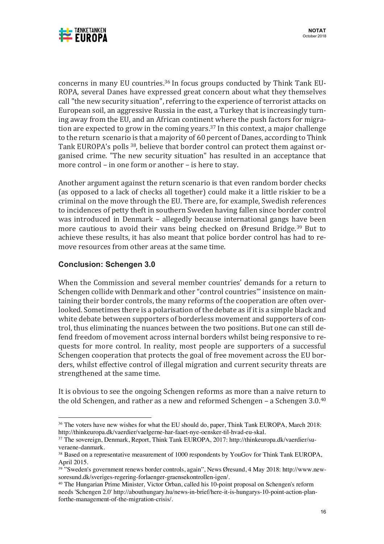



concerns in many EU countries.<sup>36</sup> In focus groups conducted by Think Tank EU-ROPA, several Danes have expressed great concern about what they themselves call "the new security situation", referring to the experience of terrorist attacks on European soil, an aggressive Russia in the east, a Turkey that is increasingly turning away from the EU, and an African continent where the push factors for migration are expected to grow in the coming years.<sup>37</sup> In this context, a major challenge to the return scenario is that a majority of 60 percent of Danes, according to Think Tank EUROPA's polls <sup>38</sup>, believe that border control can protect them against organised crime. "The new security situation" has resulted in an acceptance that more control – in one form or another – is here to stay.

Another argument against the return scenario is that even random border checks (as opposed to a lack of checks all together) could make it a little riskier to be a criminal on the move through the EU. There are, for example, Swedish references to incidences of petty theft in southern Sweden having fallen since border control was introduced in Denmark - allegedly because international gangs have been more cautious to avoid their vans being checked on Øresund Bridge.<sup>39</sup> But to achieve these results, it has also meant that police border control has had to remove resources from other areas at the same time.

#### **Conclusion: Schengen 3.0**

 

When the Commission and several member countries' demands for a return to Schengen collide with Denmark and other "control countries" insistence on maintaining their border controls, the many reforms of the cooperation are often overlooked. Sometimes there is a polarisation of the debate as if it is a simple black and white debate between supporters of borderless movement and supporters of control, thus eliminating the nuances between the two positions. But one can still defend freedom of movement across internal borders whilst being responsive to requests for more control. In reality, most people are supporters of a successful Schengen cooperation that protects the goal of free movement across the EU borders, whilst effective control of illegal migration and current security threats are strengthened at the same time.

It is obvious to see the ongoing Schengen reforms as more than a naive return to the old Schengen, and rather as a new and reformed Schengen – a Schengen  $3.0^{40}$ 

<sup>&</sup>lt;sup>36</sup> The voters have new wishes for what the EU should do, paper, Think Tank EUROPA, March 2018: http://thinkeuropa.dk/vaerdier/vaelgerne-har-faaet-nye-oensker-til-hvad-eu-skal.

<sup>37</sup> The sovereign, Denmark, Report, Think Tank EUROPA, 2017: http://thinkeuropa.dk/vaerdier/suveraene-danmark.<br><sup>38</sup> Based on a representative measurement of 1000 respondents by YouGov for Think Tank EUROPA,

April 2015.

<sup>&</sup>lt;sup>39</sup> "Sweden's government renews border controls, again", News Øresund, 4 May 2018: http://www.new-soresund.dk/sveriges-regering-forlaenger-graensekontrollen-igen/.

<sup>&</sup>lt;sup>40</sup> The Hungarian Prime Minister, Victor Orban, called his 10-point proposal on Schengen's reform needs 'Schengen 2.0' http://abouthungary.hu/news-in-brief/here-it-is-hungarys-10-point-action-planforthe-management-of-the-migration-crisis/.